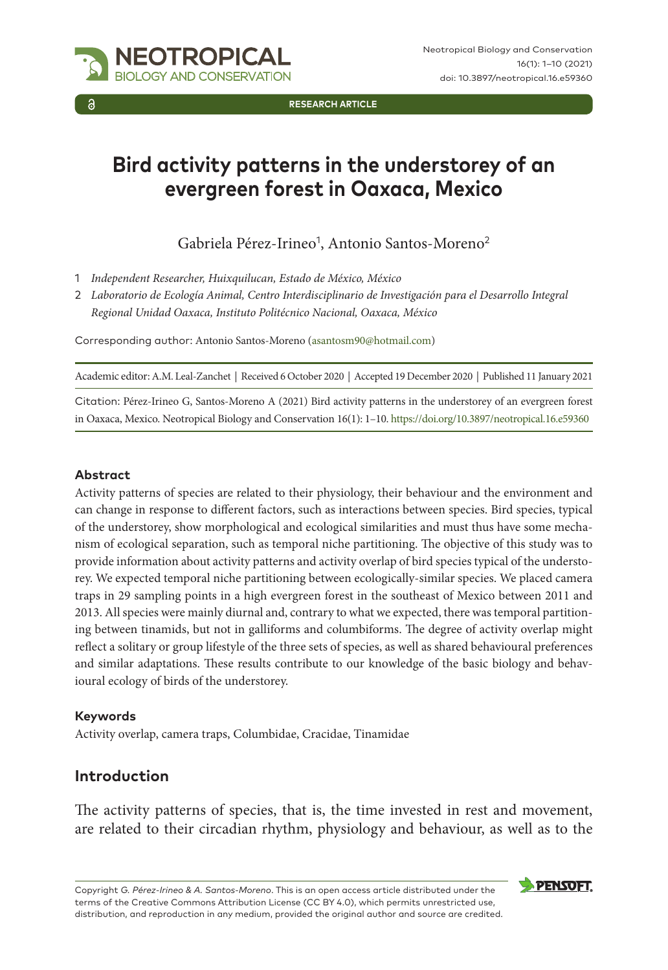

**RESEARCH ARTICLE**

# **Bird activity patterns in the understorey of an evergreen forest in Oaxaca, Mexico**

Gabriela Pérez-Irineo<sup>1</sup>, Antonio Santos-Moreno<sup>2</sup>

- 1 *Independent Researcher, Huixquilucan, Estado de México, México*
- 2 *Laboratorio de Ecología Animal, Centro Interdisciplinario de Investigación para el Desarrollo Integral Regional Unidad Oaxaca, Instituto Politécnico Nacional, Oaxaca, México*

Corresponding author: Antonio Santos-Moreno ([asantosm90@hotmail.com](mailto:asantosm90@hotmail.com))

Academic editor: A.M. Leal-Zanchet | Received 6 October 2020 | Accepted 19 December 2020 | Published 11 January 2021

Citation: Pérez-Irineo G, Santos-Moreno A (2021) Bird activity patterns in the understorey of an evergreen forest in Oaxaca, Mexico. Neotropical Biology and Conservation 16(1): 1–10.<https://doi.org/10.3897/neotropical.16.e59360>

#### **Abstract**

Activity patterns of species are related to their physiology, their behaviour and the environment and can change in response to different factors, such as interactions between species. Bird species, typical of the understorey, show morphological and ecological similarities and must thus have some mechanism of ecological separation, such as temporal niche partitioning. The objective of this study was to provide information about activity patterns and activity overlap of bird species typical of the understorey. We expected temporal niche partitioning between ecologically-similar species. We placed camera traps in 29 sampling points in a high evergreen forest in the southeast of Mexico between 2011 and 2013. All species were mainly diurnal and, contrary to what we expected, there was temporal partitioning between tinamids, but not in galliforms and columbiforms. The degree of activity overlap might reflect a solitary or group lifestyle of the three sets of species, as well as shared behavioural preferences and similar adaptations. These results contribute to our knowledge of the basic biology and behavioural ecology of birds of the understorey.

#### **Keywords**

Activity overlap, camera traps, Columbidae, Cracidae, Tinamidae

## **Introduction**

The activity patterns of species, that is, the time invested in rest and movement, are related to their circadian rhythm, physiology and behaviour, as well as to the

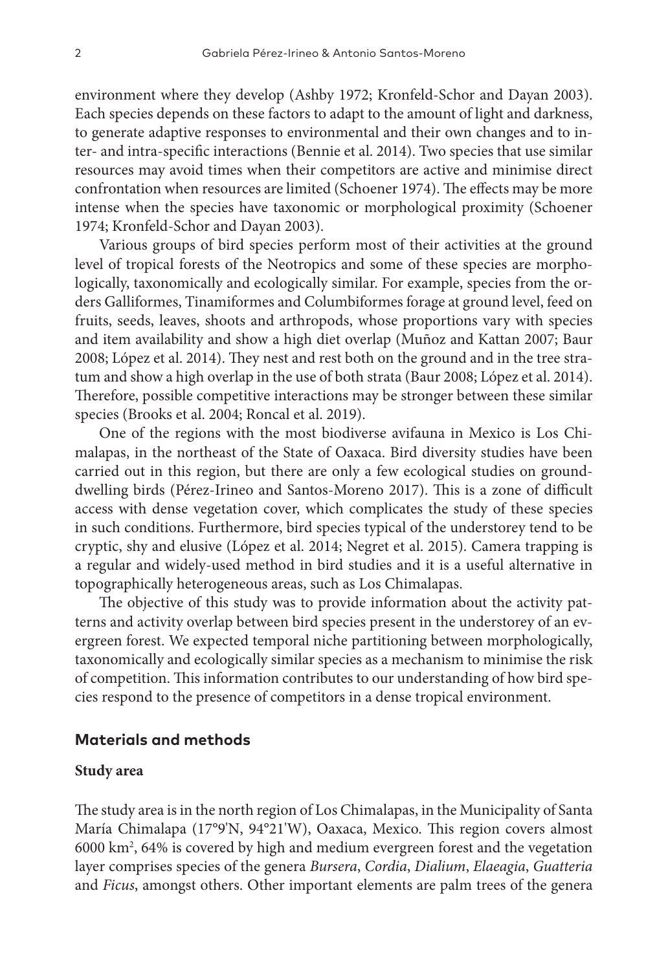environment where they develop (Ashby 1972; Kronfeld-Schor and Dayan 2003). Each species depends on these factors to adapt to the amount of light and darkness, to generate adaptive responses to environmental and their own changes and to inter- and intra-specific interactions (Bennie et al. 2014). Two species that use similar resources may avoid times when their competitors are active and minimise direct confrontation when resources are limited (Schoener 1974). The effects may be more intense when the species have taxonomic or morphological proximity (Schoener 1974; Kronfeld-Schor and Dayan 2003).

Various groups of bird species perform most of their activities at the ground level of tropical forests of the Neotropics and some of these species are morphologically, taxonomically and ecologically similar. For example, species from the orders Galliformes, Tinamiformes and Columbiformes forage at ground level, feed on fruits, seeds, leaves, shoots and arthropods, whose proportions vary with species and item availability and show a high diet overlap (Muñoz and Kattan 2007; Baur 2008; López et al. 2014). They nest and rest both on the ground and in the tree stratum and show a high overlap in the use of both strata (Baur 2008; López et al. 2014). Therefore, possible competitive interactions may be stronger between these similar species (Brooks et al. 2004; Roncal et al. 2019).

One of the regions with the most biodiverse avifauna in Mexico is Los Chimalapas, in the northeast of the State of Oaxaca. Bird diversity studies have been carried out in this region, but there are only a few ecological studies on grounddwelling birds (Pérez-Irineo and Santos-Moreno 2017). This is a zone of difficult access with dense vegetation cover, which complicates the study of these species in such conditions. Furthermore, bird species typical of the understorey tend to be cryptic, shy and elusive (López et al. 2014; Negret et al. 2015). Camera trapping is a regular and widely-used method in bird studies and it is a useful alternative in topographically heterogeneous areas, such as Los Chimalapas.

The objective of this study was to provide information about the activity patterns and activity overlap between bird species present in the understorey of an evergreen forest. We expected temporal niche partitioning between morphologically, taxonomically and ecologically similar species as a mechanism to minimise the risk of competition. This information contributes to our understanding of how bird species respond to the presence of competitors in a dense tropical environment.

#### **Materials and methods**

#### **Study area**

The study area is in the north region of Los Chimalapas, in the Municipality of Santa María Chimalapa (17°9'N, 94°21'W), Oaxaca, Mexico. This region covers almost 6000 km2 , 64% is covered by high and medium evergreen forest and the vegetation layer comprises species of the genera *Bursera*, *Cordia*, *Dialium*, *Elaeagia*, *Guatteria* and *Ficus*, amongst others. Other important elements are palm trees of the genera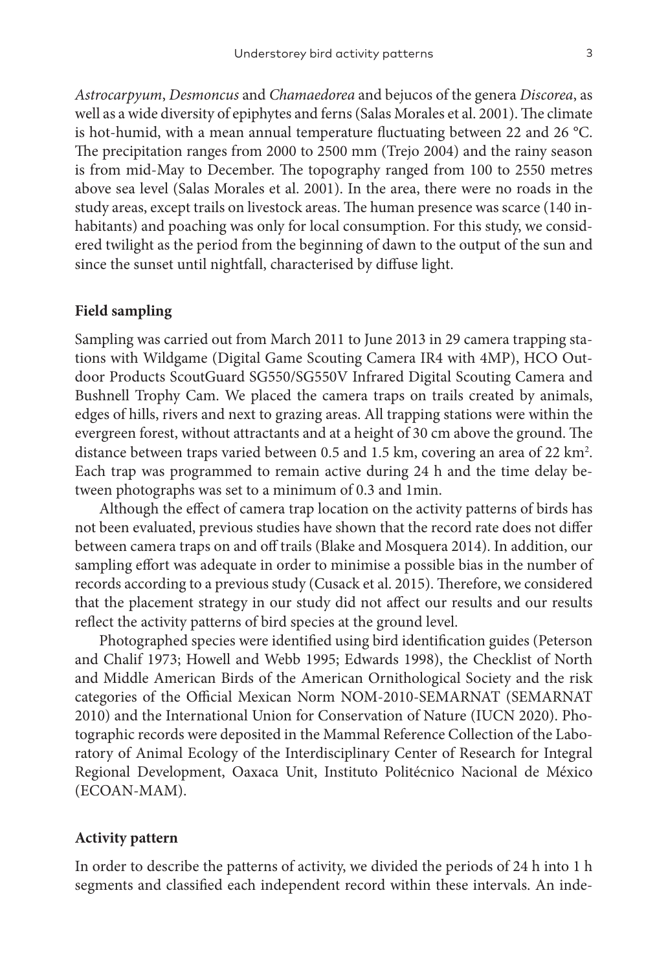*Astrocarpyum*, *Desmoncus* and *Chamaedorea* and bejucos of the genera *Discorea*, as well as a wide diversity of epiphytes and ferns (Salas Morales et al. 2001). The climate is hot-humid, with a mean annual temperature fluctuating between 22 and 26 °C. The precipitation ranges from 2000 to 2500 mm (Trejo 2004) and the rainy season is from mid-May to December. The topography ranged from 100 to 2550 metres above sea level (Salas Morales et al. 2001). In the area, there were no roads in the study areas, except trails on livestock areas. The human presence was scarce (140 inhabitants) and poaching was only for local consumption. For this study, we considered twilight as the period from the beginning of dawn to the output of the sun and since the sunset until nightfall, characterised by diffuse light.

## **Field sampling**

Sampling was carried out from March 2011 to June 2013 in 29 camera trapping stations with Wildgame (Digital Game Scouting Camera IR4 with 4MP), HCO Outdoor Products ScoutGuard SG550/SG550V Infrared Digital Scouting Camera and Bushnell Trophy Cam. We placed the camera traps on trails created by animals, edges of hills, rivers and next to grazing areas. All trapping stations were within the evergreen forest, without attractants and at a height of 30 cm above the ground. The distance between traps varied between 0.5 and 1.5 km, covering an area of 22  $\text{km}^2$ . Each trap was programmed to remain active during 24 h and the time delay between photographs was set to a minimum of 0.3 and 1min.

Although the effect of camera trap location on the activity patterns of birds has not been evaluated, previous studies have shown that the record rate does not differ between camera traps on and off trails (Blake and Mosquera 2014). In addition, our sampling effort was adequate in order to minimise a possible bias in the number of records according to a previous study (Cusack et al. 2015). Therefore, we considered that the placement strategy in our study did not affect our results and our results reflect the activity patterns of bird species at the ground level.

Photographed species were identified using bird identification guides (Peterson and Chalif 1973; Howell and Webb 1995; Edwards 1998), the Checklist of North and Middle American Birds of the American Ornithological Society and the risk categories of the Official Mexican Norm NOM-2010-SEMARNAT (SEMARNAT 2010) and the International Union for Conservation of Nature (IUCN 2020). Photographic records were deposited in the Mammal Reference Collection of the Laboratory of Animal Ecology of the Interdisciplinary Center of Research for Integral Regional Development, Oaxaca Unit, Instituto Politécnico Nacional de México (ECOAN-MAM).

## **Activity pattern**

In order to describe the patterns of activity, we divided the periods of 24 h into 1 h segments and classified each independent record within these intervals. An inde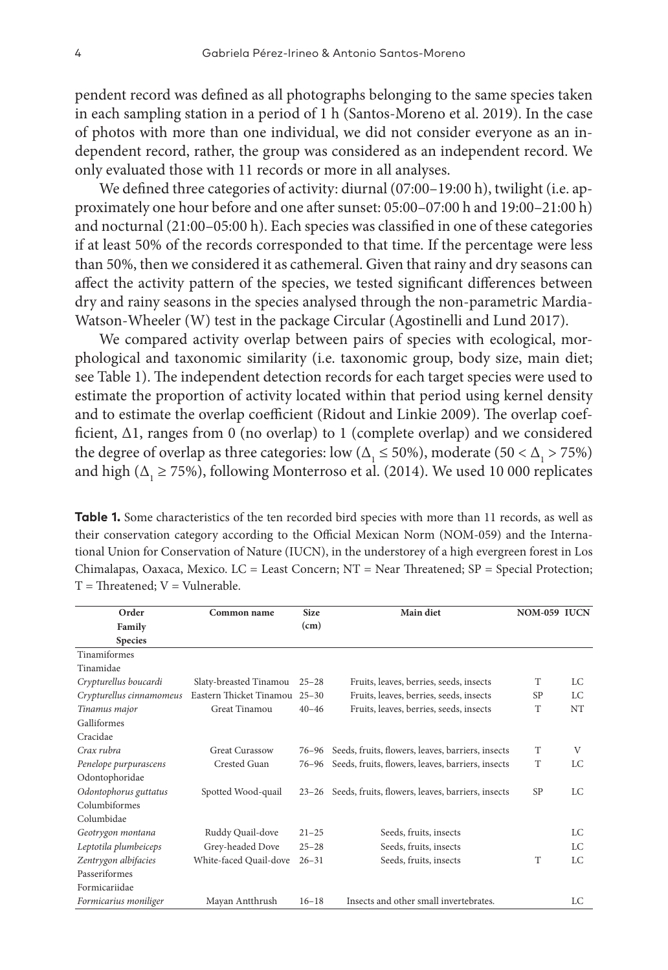pendent record was defined as all photographs belonging to the same species taken in each sampling station in a period of 1 h (Santos-Moreno et al. 2019). In the case of photos with more than one individual, we did not consider everyone as an independent record, rather, the group was considered as an independent record. We only evaluated those with 11 records or more in all analyses.

We defined three categories of activity: diurnal (07:00–19:00 h), twilight (i.e. approximately one hour before and one after sunset: 05:00–07:00 h and 19:00–21:00 h) and nocturnal (21:00–05:00 h). Each species was classified in one of these categories if at least 50% of the records corresponded to that time. If the percentage were less than 50%, then we considered it as cathemeral. Given that rainy and dry seasons can affect the activity pattern of the species, we tested significant differences between dry and rainy seasons in the species analysed through the non-parametric Mardia-Watson-Wheeler (W) test in the package Circular (Agostinelli and Lund 2017).

We compared activity overlap between pairs of species with ecological, morphological and taxonomic similarity (i.e. taxonomic group, body size, main diet; see Table 1). The independent detection records for each target species were used to estimate the proportion of activity located within that period using kernel density and to estimate the overlap coefficient (Ridout and Linkie 2009). The overlap coefficient, Δ1, ranges from 0 (no overlap) to 1 (complete overlap) and we considered the degree of overlap as three categories: low ( $\Delta$ <sub>1</sub> ≤ 50%), moderate (50 <  $\Delta$ <sub>1</sub> > 75%) and high ( $\Delta$ <sub>1</sub>  $\geq$  75%), following Monterroso et al. (2014). We used 10 000 replicates

**Table 1.** Some characteristics of the ten recorded bird species with more than 11 records, as well as their conservation category according to the Official Mexican Norm (NOM-059) and the International Union for Conservation of Nature (IUCN), in the understorey of a high evergreen forest in Los Chimalapas, Oaxaca, Mexico. LC = Least Concern; NT = Near Threatened; SP = Special Protection;  $T =$ Threatened;  $V =$ Vulnerable.

| Order                    | Common name             | <b>Size</b> | Main diet                                         | NOM-059 IUCN |     |
|--------------------------|-------------------------|-------------|---------------------------------------------------|--------------|-----|
| Family                   |                         | (cm)        |                                                   |              |     |
| <b>Species</b>           |                         |             |                                                   |              |     |
| Tinamiformes             |                         |             |                                                   |              |     |
| Tinamidae                |                         |             |                                                   |              |     |
| Crypturellus boucardi    | Slaty-breasted Tinamou  | $25 - 28$   | Fruits, leaves, berries, seeds, insects           | T            | LC  |
| Crypturellus cinnamomeus | Eastern Thicket Tinamou | $25 - 30$   | Fruits, leaves, berries, seeds, insects           | SP           | LC  |
| Tinamus major            | Great Tinamou           | $40 - 46$   | Fruits, leaves, berries, seeds, insects           | T            | NT  |
| Galliformes              |                         |             |                                                   |              |     |
| Cracidae                 |                         |             |                                                   |              |     |
| Crax rubra               | <b>Great Curassow</b>   | 76–96       | Seeds, fruits, flowers, leaves, barriers, insects | T            | V   |
| Penelope purpurascens    | Crested Guan            | 76–96       | Seeds, fruits, flowers, leaves, barriers, insects | T            | LC. |
| Odontophoridae           |                         |             |                                                   |              |     |
| Odontophorus guttatus    | Spotted Wood-quail      | $23 - 26$   | Seeds, fruits, flowers, leaves, barriers, insects | <b>SP</b>    | LC  |
| Columbiformes            |                         |             |                                                   |              |     |
| Columbidae               |                         |             |                                                   |              |     |
| Geotrygon montana        | Ruddy Quail-dove        | $21 - 25$   | Seeds, fruits, insects                            |              | LC  |
| Leptotila plumbeiceps    | Grey-headed Dove        | $25 - 28$   | Seeds, fruits, insects                            |              | LC  |
| Zentrygon albifacies     | White-faced Quail-dove  | $26 - 31$   | Seeds, fruits, insects                            | T            | LC  |
| Passeriformes            |                         |             |                                                   |              |     |
| Formicariidae            |                         |             |                                                   |              |     |
| Formicarius moniliger    | Mayan Antthrush         | $16 - 18$   | Insects and other small invertebrates.            |              | LC  |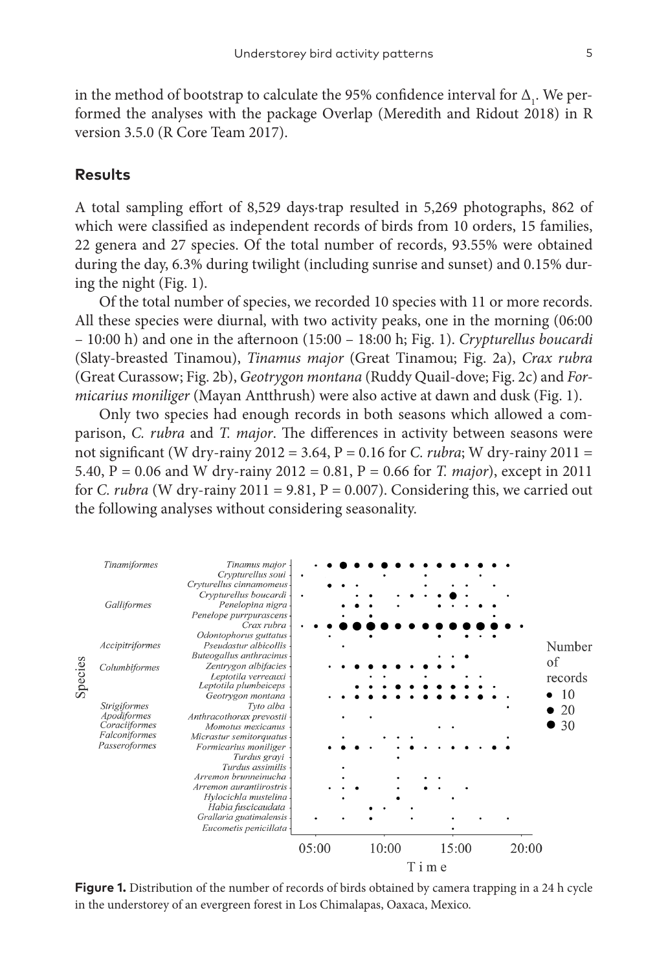in the method of bootstrap to calculate the 95% confidence interval for  $\Delta_1$ . We performed the analyses with the package Overlap (Meredith and Ridout 2018) in R version 3.5.0 (R Core Team 2017).

#### **Results**

A total sampling effort of 8,529 days∙trap resulted in 5,269 photographs, 862 of which were classified as independent records of birds from 10 orders, 15 families, 22 genera and 27 species. Of the total number of records, 93.55% were obtained during the day, 6.3% during twilight (including sunrise and sunset) and 0.15% during the night (Fig. 1).

Of the total number of species, we recorded 10 species with 11 or more records. All these species were diurnal, with two activity peaks, one in the morning (06:00 – 10:00 h) and one in the afternoon (15:00 – 18:00 h; Fig. 1). *Crypturellus boucardi* (Slaty-breasted Tinamou), *Tinamus major* (Great Tinamou; Fig. 2a), *Crax rubra* (Great Curassow; Fig. 2b), *Geotrygon montana* (Ruddy Quail-dove; Fig. 2c) and *Formicarius moniliger* (Mayan Antthrush) were also active at dawn and dusk (Fig. 1).

Only two species had enough records in both seasons which allowed a comparison, *C. rubra* and *T. major*. The differences in activity between seasons were not significant (W dry-rainy 2012 = 3.64, P = 0.16 for *C. rubra*; W dry-rainy 2011 = 5.40, P = 0.06 and W dry-rainy 2012 = 0.81, P = 0.66 for *T. major*), except in 2011 for *C. rubra* (W dry-rainy 2011 = 9.81,  $P = 0.007$ ). Considering this, we carried out the following analyses without considering seasonality.



**Figure 1.** Distribution of the number of records of birds obtained by camera trapping in a 24 h cycle in the understorey of an evergreen forest in Los Chimalapas, Oaxaca, Mexico.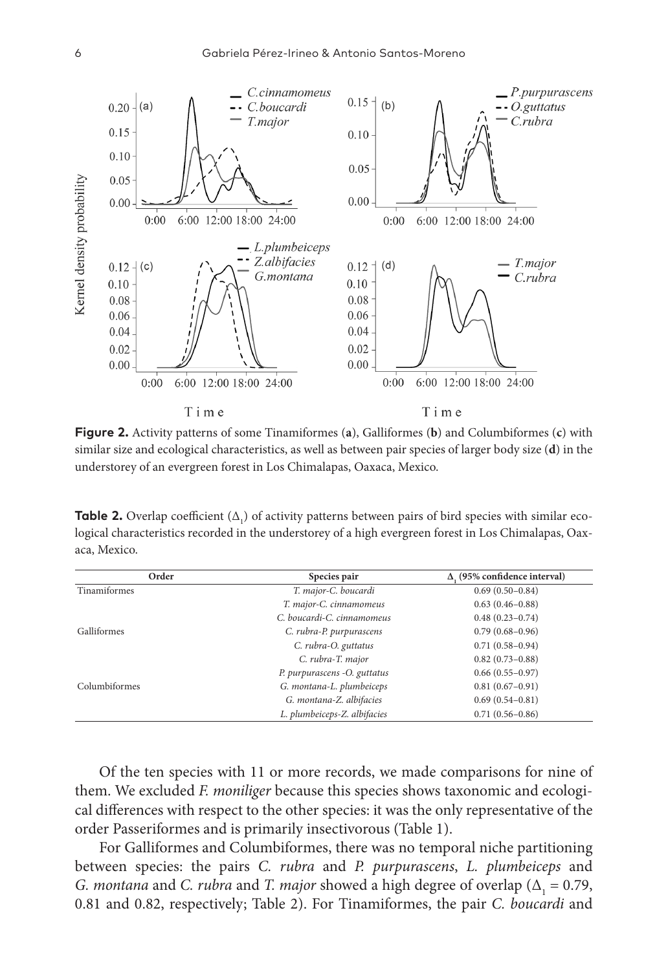

**Figure 2.** Activity patterns of some Tinamiformes (**a**), Galliformes (**b**) and Columbiformes (**c**) with similar size and ecological characteristics, as well as between pair species of larger body size (**d**) in the understorey of an evergreen forest in Los Chimalapas, Oaxaca, Mexico.

**Table 2.** Overlap coefficient  $(\Delta_1)$  of activity patterns between pairs of bird species with similar ecological characteristics recorded in the understorey of a high evergreen forest in Los Chimalapas, Oaxaca, Mexico.

| Order         | Species pair                 | $\Delta$ , (95% confidence interval) |
|---------------|------------------------------|--------------------------------------|
| Tinamiformes  | T. major-C. boucardi         | $0.69(0.50-0.84)$                    |
|               | T. major-C. cinnamomeus      | $0.63(0.46 - 0.88)$                  |
|               | C. boucardi-C. cinnamomeus   | $0.48(0.23 - 0.74)$                  |
| Galliformes   | C. rubra-P. purpurascens     | $0.79(0.68 - 0.96)$                  |
|               | C. rubra-O. guttatus         | $0.71(0.58-0.94)$                    |
|               | C. rubra-T. major            | $0.82(0.73 - 0.88)$                  |
|               | P. purpurascens -O. guttatus | $0.66(0.55-0.97)$                    |
| Columbiformes | G. montana-L. plumbeiceps    | $0.81(0.67-0.91)$                    |
|               | G. montana-Z. albifacies     | $0.69(0.54 - 0.81)$                  |
|               | L. plumbeiceps-Z. albifacies | $0.71(0.56 - 0.86)$                  |

Of the ten species with 11 or more records, we made comparisons for nine of them. We excluded *F. moniliger* because this species shows taxonomic and ecological differences with respect to the other species: it was the only representative of the order Passeriformes and is primarily insectivorous (Table 1).

For Galliformes and Columbiformes, there was no temporal niche partitioning between species: the pairs *C. rubra* and *P. purpurascens*, *L. plumbeiceps* and *G. montana* and *C. rubra* and *T. major* showed a high degree of overlap ( $\Delta$ <sub>1</sub> = 0.79, 0.81 and 0.82, respectively; Table 2). For Tinamiformes, the pair *C. boucardi* and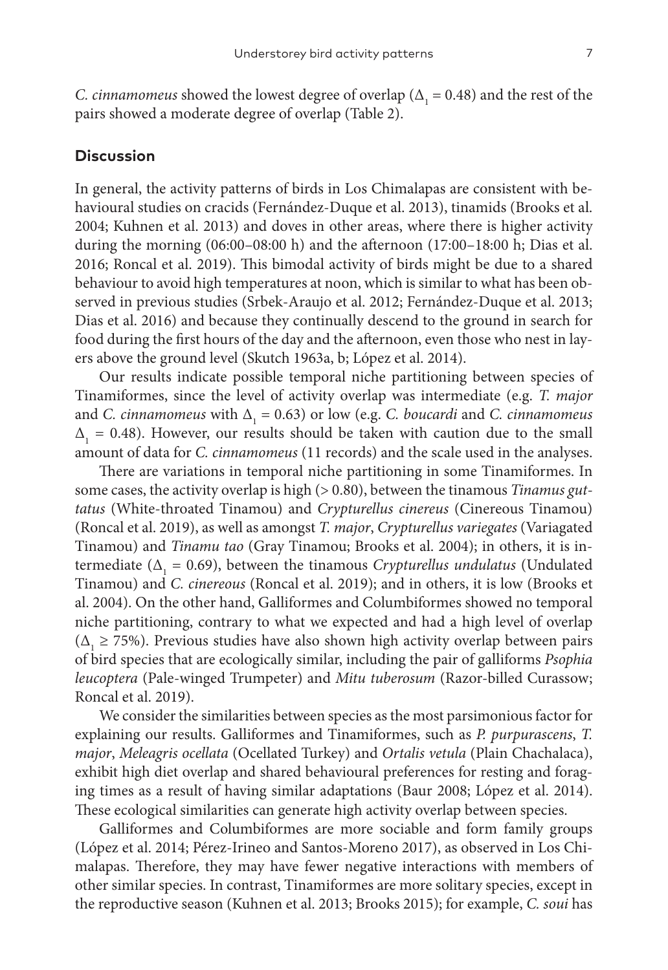*C. cinnamomeus* showed the lowest degree of overlap ( $\Delta$ <sub>1</sub> = 0.48) and the rest of the pairs showed a moderate degree of overlap (Table 2).

## **Discussion**

In general, the activity patterns of birds in Los Chimalapas are consistent with behavioural studies on cracids (Fernández-Duque et al. 2013), tinamids (Brooks et al. 2004; Kuhnen et al. 2013) and doves in other areas, where there is higher activity during the morning (06:00–08:00 h) and the afternoon (17:00–18:00 h; Dias et al. 2016; Roncal et al. 2019). This bimodal activity of birds might be due to a shared behaviour to avoid high temperatures at noon, which is similar to what has been observed in previous studies (Srbek-Araujo et al. 2012; Fernández-Duque et al. 2013; Dias et al. 2016) and because they continually descend to the ground in search for food during the first hours of the day and the afternoon, even those who nest in layers above the ground level (Skutch 1963a, b; López et al. 2014).

Our results indicate possible temporal niche partitioning between species of Tinamiformes, since the level of activity overlap was intermediate (e.g. *T. major* and *C. cinnamomeus* with  $\Delta_1 = 0.63$ ) or low (e.g. *C. boucardi* and *C. cinnamomeus*  $\Delta_1$  = 0.48). However, our results should be taken with caution due to the small amount of data for *C. cinnamomeus* (11 records) and the scale used in the analyses.

There are variations in temporal niche partitioning in some Tinamiformes. In some cases, the activity overlap is high (> 0.80), between the tinamous *Tinamus guttatus* (White-throated Tinamou) and *Crypturellus cinereus* (Cinereous Tinamou) (Roncal et al. 2019), as well as amongst *T. major*, *Crypturellus variegates* (Variagated Tinamou) and *Tinamu tao* (Gray Tinamou; Brooks et al. 2004); in others, it is intermediate ( $\Delta$ <sub>1</sub> = 0.69), between the tinamous *Crypturellus undulatus* (Undulated Tinamou) and *C. cinereous* (Roncal et al. 2019); and in others, it is low (Brooks et al. 2004). On the other hand, Galliformes and Columbiformes showed no temporal niche partitioning, contrary to what we expected and had a high level of overlap  $(\Delta_1 \ge 75\%)$ . Previous studies have also shown high activity overlap between pairs of bird species that are ecologically similar, including the pair of galliforms *Psophia leucoptera* (Pale-winged Trumpeter) and *Mitu tuberosum* (Razor-billed Curassow; Roncal et al. 2019).

We consider the similarities between species as the most parsimonious factor for explaining our results. Galliformes and Tinamiformes, such as *P. purpurascens*, *T. major*, *Meleagris ocellata* (Ocellated Turkey) and *Ortalis vetula* (Plain Chachalaca), exhibit high diet overlap and shared behavioural preferences for resting and foraging times as a result of having similar adaptations (Baur 2008; López et al. 2014). These ecological similarities can generate high activity overlap between species.

Galliformes and Columbiformes are more sociable and form family groups (López et al. 2014; Pérez-Irineo and Santos-Moreno 2017), as observed in Los Chimalapas. Therefore, they may have fewer negative interactions with members of other similar species. In contrast, Tinamiformes are more solitary species, except in the reproductive season (Kuhnen et al. 2013; Brooks 2015); for example, *C. soui* has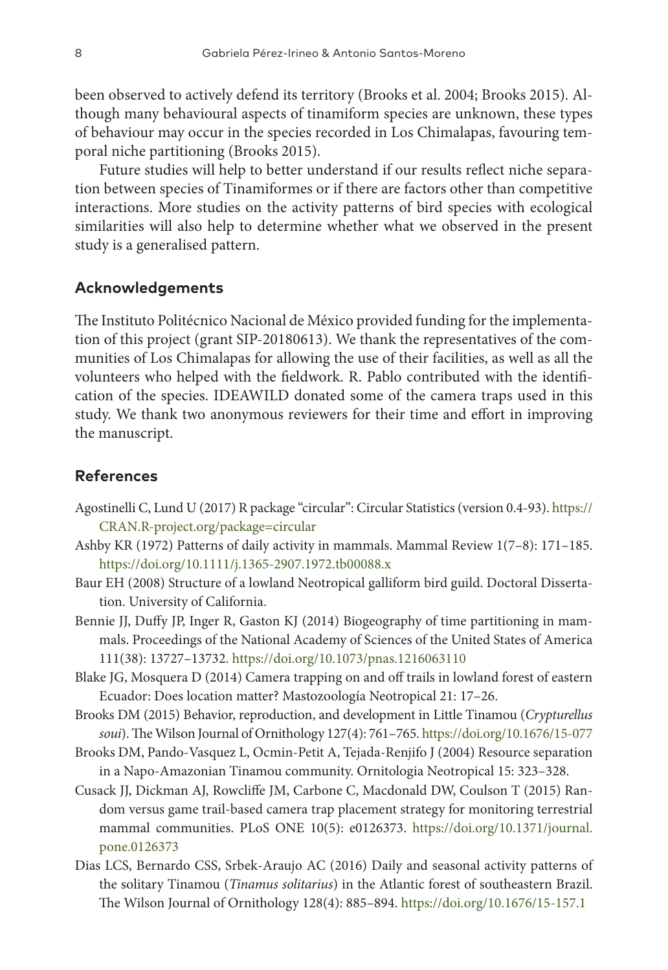been observed to actively defend its territory (Brooks et al. 2004; Brooks 2015). Although many behavioural aspects of tinamiform species are unknown, these types of behaviour may occur in the species recorded in Los Chimalapas, favouring temporal niche partitioning (Brooks 2015).

Future studies will help to better understand if our results reflect niche separation between species of Tinamiformes or if there are factors other than competitive interactions. More studies on the activity patterns of bird species with ecological similarities will also help to determine whether what we observed in the present study is a generalised pattern.

### **Acknowledgements**

The Instituto Politécnico Nacional de México provided funding for the implementation of this project (grant SIP-20180613). We thank the representatives of the communities of Los Chimalapas for allowing the use of their facilities, as well as all the volunteers who helped with the fieldwork. R. Pablo contributed with the identification of the species. IDEAWILD donated some of the camera traps used in this study. We thank two anonymous reviewers for their time and effort in improving the manuscript.

## **References**

- Agostinelli C, Lund U (2017) R package "circular": Circular Statistics (version 0.4-93). [https://](https://CRAN.R-project.org/package=circular) [CRAN.R-project.org/package=circular](https://CRAN.R-project.org/package=circular)
- Ashby KR (1972) Patterns of daily activity in mammals. Mammal Review 1(7–8): 171–185. <https://doi.org/10.1111/j.1365-2907.1972.tb00088.x>
- Baur EH (2008) Structure of a lowland Neotropical galliform bird guild. Doctoral Dissertation. University of California.
- Bennie JJ, Duffy JP, Inger R, Gaston KJ (2014) Biogeography of time partitioning in mammals. Proceedings of the National Academy of Sciences of the United States of America 111(38): 13727–13732. <https://doi.org/10.1073/pnas.1216063110>
- Blake JG, Mosquera D (2014) Camera trapping on and off trails in lowland forest of eastern Ecuador: Does location matter? Mastozoología Neotropical 21: 17–26.
- Brooks DM (2015) Behavior, reproduction, and development in Little Tinamou (*Crypturellus soui*). The Wilson Journal of Ornithology 127(4): 761–765.<https://doi.org/10.1676/15-077>
- Brooks DM, Pando-Vasquez L, Ocmin-Petit A, Tejada-Renjifo J (2004) Resource separation in a Napo-Amazonian Tinamou community. Ornitologia Neotropical 15: 323–328.
- Cusack JJ, Dickman AJ, Rowcliffe JM, Carbone C, Macdonald DW, Coulson T (2015) Random versus game trail-based camera trap placement strategy for monitoring terrestrial mammal communities. PLoS ONE 10(5): e0126373. [https://doi.org/10.1371/journal.](https://doi.org/10.1371/journal.pone.0126373) [pone.0126373](https://doi.org/10.1371/journal.pone.0126373)
- Dias LCS, Bernardo CSS, Srbek-Araujo AC (2016) Daily and seasonal activity patterns of the solitary Tinamou (*Tinamus solitarius*) in the Atlantic forest of southeastern Brazil. The Wilson Journal of Ornithology 128(4): 885–894.<https://doi.org/10.1676/15-157.1>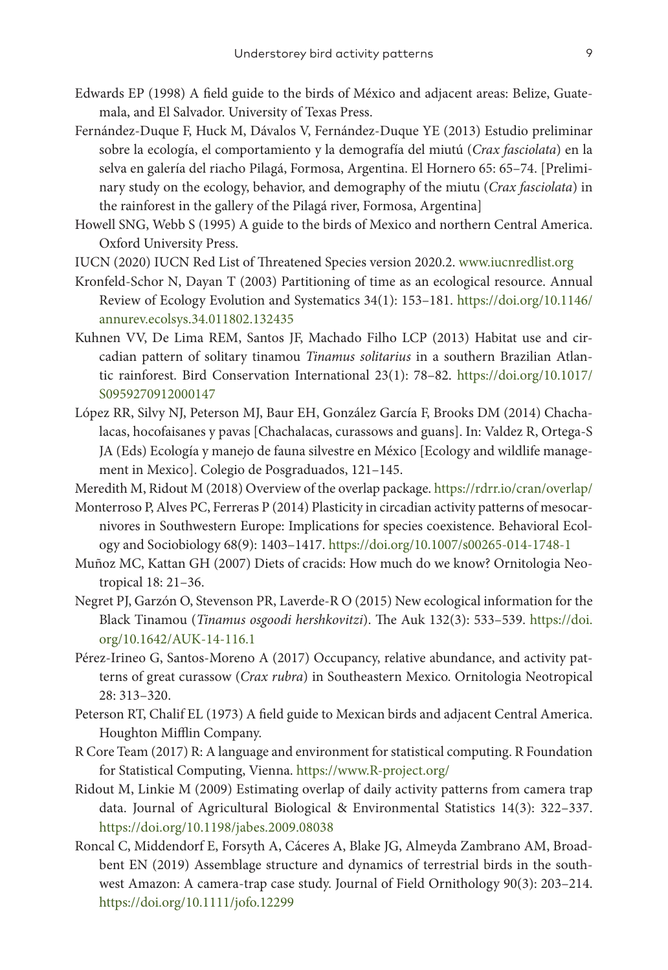- Edwards EP (1998) A field guide to the birds of México and adjacent areas: Belize, Guatemala, and El Salvador. University of Texas Press.
- Fernández-Duque F, Huck M, Dávalos V, Fernández-Duque YE (2013) Estudio preliminar sobre la ecología, el comportamiento y la demografía del miutú (*Crax fasciolata*) en la selva en galería del riacho Pilagá, Formosa, Argentina. El Hornero 65: 65–74. [Preliminary study on the ecology, behavior, and demography of the miutu (*Crax fasciolata*) in the rainforest in the gallery of the Pilagá river, Formosa, Argentina]
- Howell SNG, Webb S (1995) A guide to the birds of Mexico and northern Central America. Oxford University Press.
- IUCN (2020) IUCN Red List of Threatened Species version 2020.2. www.iucnredlist.org
- Kronfeld-Schor N, Dayan T (2003) Partitioning of time as an ecological resource. Annual Review of Ecology Evolution and Systematics 34(1): 153–181. [https://doi.org/10.1146/](https://doi.org/10.1146/annurev.ecolsys.34.011802.132435) [annurev.ecolsys.34.011802.132435](https://doi.org/10.1146/annurev.ecolsys.34.011802.132435)
- Kuhnen VV, De Lima REM, Santos JF, Machado Filho LCP (2013) Habitat use and circadian pattern of solitary tinamou *Tinamus solitarius* in a southern Brazilian Atlantic rainforest. Bird Conservation International 23(1): 78–82. [https://doi.org/10.1017/](https://doi.org/10.1017/S0959270912000147) [S0959270912000147](https://doi.org/10.1017/S0959270912000147)
- López RR, Silvy NJ, Peterson MJ, Baur EH, González García F, Brooks DM (2014) Chachalacas, hocofaisanes y pavas [Chachalacas, curassows and guans]. In: Valdez R, Ortega-S JA (Eds) Ecología y manejo de fauna silvestre en México [Ecology and wildlife management in Mexico]. Colegio de Posgraduados, 121–145.
- Meredith M, Ridout M (2018) Overview of the overlap package.<https://rdrr.io/cran/overlap/>
- Monterroso P, Alves PC, Ferreras P (2014) Plasticity in circadian activity patterns of mesocarnivores in Southwestern Europe: Implications for species coexistence. Behavioral Ecology and Sociobiology 68(9): 1403–1417.<https://doi.org/10.1007/s00265-014-1748-1>
- Muñoz MC, Kattan GH (2007) Diets of cracids: How much do we know? Ornitologia Neotropical 18: 21–36.
- Negret PJ, Garzón O, Stevenson PR, Laverde-R O (2015) New ecological information for the Black Tinamou (*Tinamus osgoodi hershkovitzi*). The Auk 132(3): 533–539. [https://doi.](https://doi.org/10.1642/AUK-14-116.1) [org/10.1642/AUK-14-116.1](https://doi.org/10.1642/AUK-14-116.1)
- Pérez-Irineo G, Santos-Moreno A (2017) Occupancy, relative abundance, and activity patterns of great curassow (*Crax rubra*) in Southeastern Mexico. Ornitologia Neotropical 28: 313–320.
- Peterson RT, Chalif EL (1973) A field guide to Mexican birds and adjacent Central America. Houghton Mifflin Company.
- R Core Team (2017) R: A language and environment for statistical computing. R Foundation for Statistical Computing, Vienna. <https://www.R-project.org/>
- Ridout M, Linkie M (2009) Estimating overlap of daily activity patterns from camera trap data. Journal of Agricultural Biological & Environmental Statistics 14(3): 322–337. <https://doi.org/10.1198/jabes.2009.08038>
- Roncal C, Middendorf E, Forsyth A, Cáceres A, Blake JG, Almeyda Zambrano AM, Broadbent EN (2019) Assemblage structure and dynamics of terrestrial birds in the southwest Amazon: A camera-trap case study. Journal of Field Ornithology 90(3): 203–214. <https://doi.org/10.1111/jofo.12299>